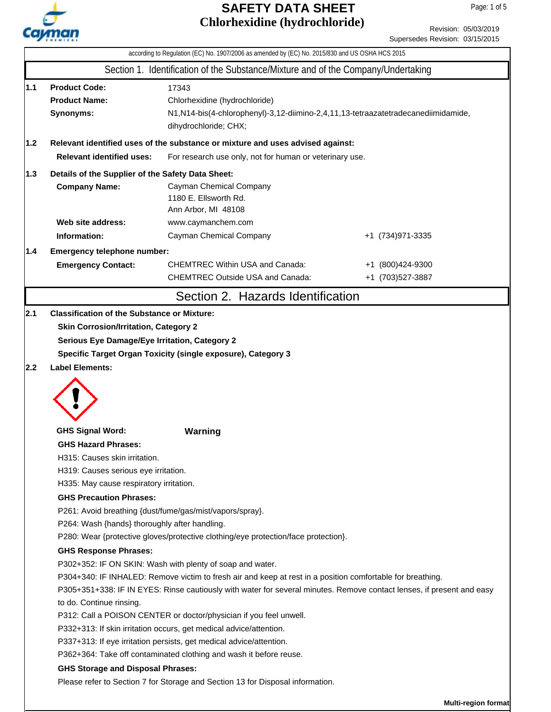

|  | Revision: 05/03/2019            |
|--|---------------------------------|
|  | Supersedes Revision: 03/15/2015 |

|     |                                                                                                                                                                                                             | according to Regulation (EC) No. 1907/2006 as amended by (EC) No. 2015/830 and US OSHA HCS 2015                                                                                                                                                                                                  |                                      |  |  |  |  |
|-----|-------------------------------------------------------------------------------------------------------------------------------------------------------------------------------------------------------------|--------------------------------------------------------------------------------------------------------------------------------------------------------------------------------------------------------------------------------------------------------------------------------------------------|--------------------------------------|--|--|--|--|
|     |                                                                                                                                                                                                             | Section 1. Identification of the Substance/Mixture and of the Company/Undertaking                                                                                                                                                                                                                |                                      |  |  |  |  |
| 1.1 | <b>Product Code:</b><br><b>Product Name:</b><br>Synonyms:                                                                                                                                                   | 17343<br>Chlorhexidine (hydrochloride)<br>N1,N14-bis(4-chlorophenyl)-3,12-diimino-2,4,11,13-tetraazatetradecanediimidamide,<br>dihydrochloride; CHX;                                                                                                                                             |                                      |  |  |  |  |
| 1.2 |                                                                                                                                                                                                             | Relevant identified uses of the substance or mixture and uses advised against:                                                                                                                                                                                                                   |                                      |  |  |  |  |
|     | <b>Relevant identified uses:</b>                                                                                                                                                                            | For research use only, not for human or veterinary use.                                                                                                                                                                                                                                          |                                      |  |  |  |  |
| 1.3 | Details of the Supplier of the Safety Data Sheet:                                                                                                                                                           |                                                                                                                                                                                                                                                                                                  |                                      |  |  |  |  |
|     | <b>Company Name:</b>                                                                                                                                                                                        | Cayman Chemical Company<br>1180 E. Ellsworth Rd.<br>Ann Arbor, MI 48108                                                                                                                                                                                                                          |                                      |  |  |  |  |
|     | Web site address:                                                                                                                                                                                           | www.caymanchem.com                                                                                                                                                                                                                                                                               |                                      |  |  |  |  |
|     | Information:                                                                                                                                                                                                | Cayman Chemical Company                                                                                                                                                                                                                                                                          | +1 (734) 971-3335                    |  |  |  |  |
| 1.4 | Emergency telephone number:                                                                                                                                                                                 |                                                                                                                                                                                                                                                                                                  |                                      |  |  |  |  |
|     | <b>Emergency Contact:</b>                                                                                                                                                                                   | <b>CHEMTREC Within USA and Canada:</b><br><b>CHEMTREC Outside USA and Canada:</b>                                                                                                                                                                                                                | +1 (800)424-9300<br>+1 (703)527-3887 |  |  |  |  |
|     |                                                                                                                                                                                                             | Section 2. Hazards Identification                                                                                                                                                                                                                                                                |                                      |  |  |  |  |
| 2.2 | Serious Eye Damage/Eye Irritation, Category 2<br><b>Label Elements:</b>                                                                                                                                     | Specific Target Organ Toxicity (single exposure), Category 3                                                                                                                                                                                                                                     |                                      |  |  |  |  |
|     | <b>GHS Signal Word:</b><br><b>GHS Hazard Phrases:</b><br>H315: Causes skin irritation.<br>H319: Causes serious eye irritation.<br>H335: May cause respiratory irritation.<br><b>GHS Precaution Phrases:</b> | Warning<br>P261: Avoid breathing {dust/fume/gas/mist/vapors/spray}.                                                                                                                                                                                                                              |                                      |  |  |  |  |
|     | P264: Wash {hands} thoroughly after handling.<br>P280: Wear {protective gloves/protective clothing/eye protection/face protection}.                                                                         |                                                                                                                                                                                                                                                                                                  |                                      |  |  |  |  |
|     | <b>GHS Response Phrases:</b><br>to do. Continue rinsing.<br>P312: Call a POISON CENTER or doctor/physician if you feel unwell.                                                                              | P302+352: IF ON SKIN: Wash with plenty of soap and water.<br>P304+340: IF INHALED: Remove victim to fresh air and keep at rest in a position comfortable for breathing.<br>P305+351+338: IF IN EYES: Rinse cautiously with water for several minutes. Remove contact lenses, if present and easy |                                      |  |  |  |  |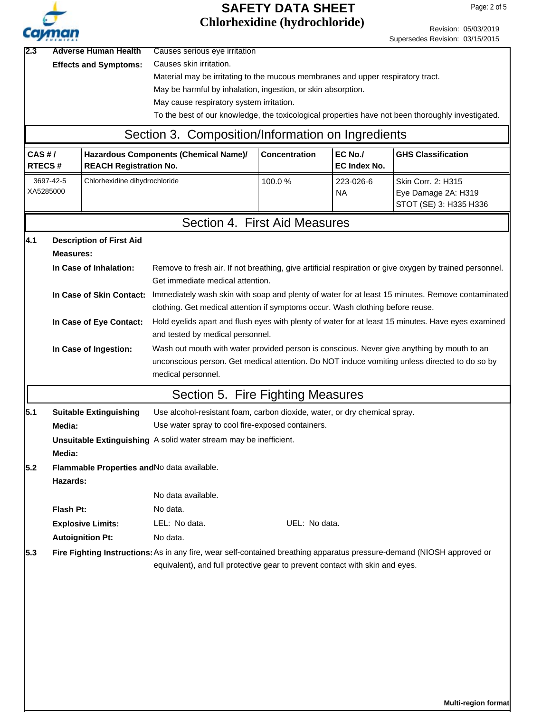| h<br>т |
|--------|

|                                                     | Cavman                                                                                                              |                                                                                               |                                                                                                                        | UNIOI NEXIQNIE (NYQI OCHIOI IQE) |                     | Revision: 05/03/2019<br>Supersedes Revision: 03/15/2015                                                 |  |  |  |  |
|-----------------------------------------------------|---------------------------------------------------------------------------------------------------------------------|-----------------------------------------------------------------------------------------------|------------------------------------------------------------------------------------------------------------------------|----------------------------------|---------------------|---------------------------------------------------------------------------------------------------------|--|--|--|--|
| <b>Adverse Human Health</b><br>2.3                  |                                                                                                                     |                                                                                               | Causes serious eye irritation                                                                                          |                                  |                     |                                                                                                         |  |  |  |  |
|                                                     |                                                                                                                     | <b>Effects and Symptoms:</b>                                                                  | Causes skin irritation.                                                                                                |                                  |                     |                                                                                                         |  |  |  |  |
|                                                     |                                                                                                                     |                                                                                               | Material may be irritating to the mucous membranes and upper respiratory tract.                                        |                                  |                     |                                                                                                         |  |  |  |  |
|                                                     |                                                                                                                     |                                                                                               | May be harmful by inhalation, ingestion, or skin absorption.                                                           |                                  |                     |                                                                                                         |  |  |  |  |
|                                                     |                                                                                                                     |                                                                                               | May cause respiratory system irritation.                                                                               |                                  |                     |                                                                                                         |  |  |  |  |
|                                                     |                                                                                                                     |                                                                                               |                                                                                                                        |                                  |                     | To the best of our knowledge, the toxicological properties have not been thoroughly investigated.       |  |  |  |  |
|                                                     |                                                                                                                     |                                                                                               | Section 3. Composition/Information on Ingredients                                                                      |                                  |                     |                                                                                                         |  |  |  |  |
| CAS H/                                              |                                                                                                                     |                                                                                               | Hazardous Components (Chemical Name)/                                                                                  | <b>Concentration</b>             | EC No./             | <b>GHS Classification</b>                                                                               |  |  |  |  |
|                                                     | <b>RTECS#</b>                                                                                                       | <b>REACH Registration No.</b>                                                                 |                                                                                                                        |                                  | <b>EC Index No.</b> |                                                                                                         |  |  |  |  |
|                                                     | 3697-42-5                                                                                                           | Chlorhexidine dihydrochloride                                                                 |                                                                                                                        | 100.0%                           | 223-026-6           | Skin Corr. 2: H315                                                                                      |  |  |  |  |
|                                                     | XA5285000                                                                                                           |                                                                                               |                                                                                                                        |                                  | ΝA                  | Eye Damage 2A: H319                                                                                     |  |  |  |  |
|                                                     |                                                                                                                     |                                                                                               |                                                                                                                        |                                  |                     | STOT (SE) 3: H335 H336                                                                                  |  |  |  |  |
|                                                     |                                                                                                                     |                                                                                               | Section 4. First Aid Measures                                                                                          |                                  |                     |                                                                                                         |  |  |  |  |
| 4.1                                                 |                                                                                                                     | <b>Description of First Aid</b>                                                               |                                                                                                                        |                                  |                     |                                                                                                         |  |  |  |  |
|                                                     | Measures:                                                                                                           |                                                                                               |                                                                                                                        |                                  |                     |                                                                                                         |  |  |  |  |
|                                                     |                                                                                                                     | In Case of Inhalation:                                                                        |                                                                                                                        |                                  |                     | Remove to fresh air. If not breathing, give artificial respiration or give oxygen by trained personnel. |  |  |  |  |
|                                                     |                                                                                                                     |                                                                                               | Get immediate medical attention.                                                                                       |                                  |                     |                                                                                                         |  |  |  |  |
|                                                     |                                                                                                                     | In Case of Skin Contact:                                                                      |                                                                                                                        |                                  |                     | Immediately wash skin with soap and plenty of water for at least 15 minutes. Remove contaminated        |  |  |  |  |
|                                                     |                                                                                                                     |                                                                                               | clothing. Get medical attention if symptoms occur. Wash clothing before reuse.                                         |                                  |                     |                                                                                                         |  |  |  |  |
|                                                     |                                                                                                                     | In Case of Eye Contact:                                                                       | Hold eyelids apart and flush eyes with plenty of water for at least 15 minutes. Have eyes examined                     |                                  |                     |                                                                                                         |  |  |  |  |
|                                                     |                                                                                                                     |                                                                                               | and tested by medical personnel.                                                                                       |                                  |                     |                                                                                                         |  |  |  |  |
|                                                     | Wash out mouth with water provided person is conscious. Never give anything by mouth to an<br>In Case of Ingestion: |                                                                                               |                                                                                                                        |                                  |                     |                                                                                                         |  |  |  |  |
|                                                     |                                                                                                                     | unconscious person. Get medical attention. Do NOT induce vomiting unless directed to do so by |                                                                                                                        |                                  |                     |                                                                                                         |  |  |  |  |
|                                                     |                                                                                                                     |                                                                                               | medical personnel.                                                                                                     |                                  |                     |                                                                                                         |  |  |  |  |
|                                                     |                                                                                                                     |                                                                                               | Section 5. Fire Fighting Measures                                                                                      |                                  |                     |                                                                                                         |  |  |  |  |
| 5.1                                                 |                                                                                                                     | <b>Suitable Extinguishing</b>                                                                 | Use alcohol-resistant foam, carbon dioxide, water, or dry chemical spray.                                              |                                  |                     |                                                                                                         |  |  |  |  |
|                                                     | Media:                                                                                                              |                                                                                               | Use water spray to cool fire-exposed containers.                                                                       |                                  |                     |                                                                                                         |  |  |  |  |
|                                                     |                                                                                                                     |                                                                                               | Unsuitable Extinguishing A solid water stream may be inefficient.                                                      |                                  |                     |                                                                                                         |  |  |  |  |
|                                                     | Media:                                                                                                              |                                                                                               |                                                                                                                        |                                  |                     |                                                                                                         |  |  |  |  |
| 5.2 <br>Flammable Properties and No data available. |                                                                                                                     |                                                                                               |                                                                                                                        |                                  |                     |                                                                                                         |  |  |  |  |
|                                                     | Hazards:                                                                                                            |                                                                                               |                                                                                                                        |                                  |                     |                                                                                                         |  |  |  |  |
|                                                     |                                                                                                                     |                                                                                               | No data available.                                                                                                     |                                  |                     |                                                                                                         |  |  |  |  |
|                                                     | Flash Pt:                                                                                                           |                                                                                               | No data.                                                                                                               |                                  |                     |                                                                                                         |  |  |  |  |
|                                                     |                                                                                                                     | <b>Explosive Limits:</b>                                                                      | LEL: No data.                                                                                                          | UEL: No data.                    |                     |                                                                                                         |  |  |  |  |
|                                                     |                                                                                                                     | <b>Autoignition Pt:</b>                                                                       | No data.                                                                                                               |                                  |                     |                                                                                                         |  |  |  |  |
| 5.3                                                 |                                                                                                                     |                                                                                               | Fire Fighting Instructions: As in any fire, wear self-contained breathing apparatus pressure-demand (NIOSH approved or |                                  |                     |                                                                                                         |  |  |  |  |
|                                                     |                                                                                                                     | equivalent), and full protective gear to prevent contact with skin and eyes.                  |                                                                                                                        |                                  |                     |                                                                                                         |  |  |  |  |
|                                                     |                                                                                                                     |                                                                                               |                                                                                                                        |                                  |                     |                                                                                                         |  |  |  |  |
|                                                     |                                                                                                                     |                                                                                               |                                                                                                                        |                                  |                     |                                                                                                         |  |  |  |  |
|                                                     |                                                                                                                     |                                                                                               |                                                                                                                        |                                  |                     |                                                                                                         |  |  |  |  |
|                                                     |                                                                                                                     |                                                                                               |                                                                                                                        |                                  |                     |                                                                                                         |  |  |  |  |
|                                                     |                                                                                                                     |                                                                                               |                                                                                                                        |                                  |                     |                                                                                                         |  |  |  |  |
|                                                     |                                                                                                                     |                                                                                               |                                                                                                                        |                                  |                     |                                                                                                         |  |  |  |  |
|                                                     |                                                                                                                     |                                                                                               |                                                                                                                        |                                  |                     |                                                                                                         |  |  |  |  |
|                                                     |                                                                                                                     |                                                                                               |                                                                                                                        |                                  |                     |                                                                                                         |  |  |  |  |
|                                                     |                                                                                                                     |                                                                                               |                                                                                                                        |                                  |                     |                                                                                                         |  |  |  |  |

**Multi-region format**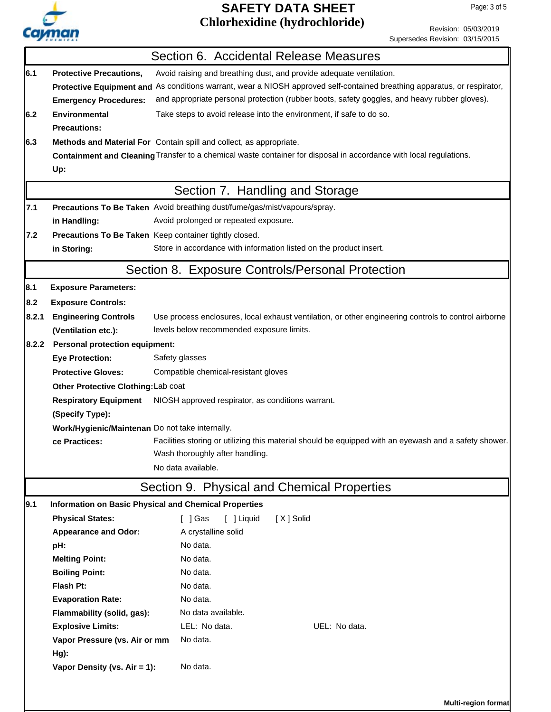

Revision: 05/03/2019

|                                     |                                                              | Supersedes Revision: 03/15/2015                                                                                          |  |  |  |
|-------------------------------------|--------------------------------------------------------------|--------------------------------------------------------------------------------------------------------------------------|--|--|--|
|                                     |                                                              | Section 6. Accidental Release Measures                                                                                   |  |  |  |
| 6.1                                 | <b>Protective Precautions,</b>                               | Avoid raising and breathing dust, and provide adequate ventilation.                                                      |  |  |  |
|                                     |                                                              | Protective Equipment and As conditions warrant, wear a NIOSH approved self-contained breathing apparatus, or respirator, |  |  |  |
|                                     | <b>Emergency Procedures:</b>                                 | and appropriate personal protection (rubber boots, safety goggles, and heavy rubber gloves).                             |  |  |  |
| 6.2                                 | <b>Environmental</b>                                         | Take steps to avoid release into the environment, if safe to do so.                                                      |  |  |  |
|                                     | <b>Precautions:</b>                                          |                                                                                                                          |  |  |  |
| 6.3                                 |                                                              | Methods and Material For Contain spill and collect, as appropriate.                                                      |  |  |  |
|                                     |                                                              | Containment and Cleaning Transfer to a chemical waste container for disposal in accordance with local regulations.       |  |  |  |
|                                     | Up:                                                          |                                                                                                                          |  |  |  |
|                                     |                                                              | Section 7. Handling and Storage                                                                                          |  |  |  |
| 7.1                                 |                                                              | Precautions To Be Taken Avoid breathing dust/fume/gas/mist/vapours/spray.                                                |  |  |  |
|                                     | in Handling:                                                 | Avoid prolonged or repeated exposure.                                                                                    |  |  |  |
| 7.2                                 | Precautions To Be Taken Keep container tightly closed.       |                                                                                                                          |  |  |  |
|                                     | in Storing:                                                  | Store in accordance with information listed on the product insert.                                                       |  |  |  |
|                                     |                                                              | Section 8. Exposure Controls/Personal Protection                                                                         |  |  |  |
| 8.1                                 | <b>Exposure Parameters:</b>                                  |                                                                                                                          |  |  |  |
| 8.2                                 | <b>Exposure Controls:</b>                                    |                                                                                                                          |  |  |  |
| 8.2.1                               | <b>Engineering Controls</b>                                  | Use process enclosures, local exhaust ventilation, or other engineering controls to control airborne                     |  |  |  |
|                                     | (Ventilation etc.):                                          | levels below recommended exposure limits.                                                                                |  |  |  |
| 8.2.2                               | <b>Personal protection equipment:</b>                        |                                                                                                                          |  |  |  |
|                                     | <b>Eye Protection:</b>                                       | Safety glasses                                                                                                           |  |  |  |
|                                     | <b>Protective Gloves:</b>                                    | Compatible chemical-resistant gloves                                                                                     |  |  |  |
| Other Protective Clothing: Lab coat |                                                              |                                                                                                                          |  |  |  |
|                                     | <b>Respiratory Equipment</b>                                 | NIOSH approved respirator, as conditions warrant.                                                                        |  |  |  |
|                                     | (Specify Type):                                              |                                                                                                                          |  |  |  |
|                                     | Work/Hygienic/Maintenan Do not take internally.              |                                                                                                                          |  |  |  |
|                                     | ce Practices:                                                | Facilities storing or utilizing this material should be equipped with an eyewash and a safety shower.                    |  |  |  |
|                                     |                                                              | Wash thoroughly after handling.                                                                                          |  |  |  |
|                                     |                                                              | No data available.                                                                                                       |  |  |  |
|                                     |                                                              | Section 9. Physical and Chemical Properties                                                                              |  |  |  |
| 9.1                                 | <b>Information on Basic Physical and Chemical Properties</b> |                                                                                                                          |  |  |  |
|                                     | <b>Physical States:</b>                                      | $\lceil$ $\rfloor$ Gas<br>[ ] Liquid<br>[X] Solid                                                                        |  |  |  |
|                                     | <b>Appearance and Odor:</b>                                  | A crystalline solid                                                                                                      |  |  |  |
|                                     | pH:                                                          | No data.                                                                                                                 |  |  |  |
|                                     | <b>Melting Point:</b>                                        | No data.                                                                                                                 |  |  |  |
|                                     | <b>Boiling Point:</b>                                        | No data.                                                                                                                 |  |  |  |
|                                     | Flash Pt:                                                    | No data.                                                                                                                 |  |  |  |
|                                     | <b>Evaporation Rate:</b>                                     | No data.                                                                                                                 |  |  |  |
|                                     | Flammability (solid, gas):                                   | No data available.                                                                                                       |  |  |  |
|                                     | <b>Explosive Limits:</b>                                     | LEL: No data.<br>UEL: No data.                                                                                           |  |  |  |
|                                     | Vapor Pressure (vs. Air or mm                                | No data.                                                                                                                 |  |  |  |
|                                     | $Hg$ ):<br>Vapor Density (vs. Air = 1):                      | No data.                                                                                                                 |  |  |  |
|                                     |                                                              |                                                                                                                          |  |  |  |
|                                     |                                                              |                                                                                                                          |  |  |  |
|                                     |                                                              | <b>Multi-region format</b>                                                                                               |  |  |  |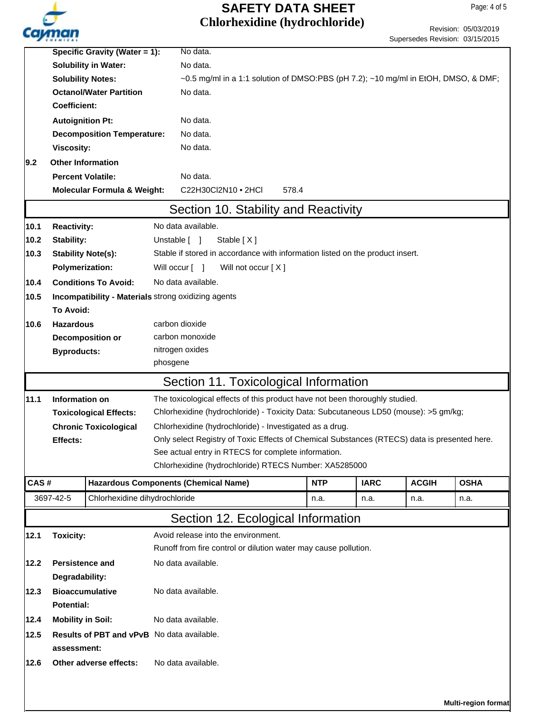

# **Chlorhexidine (hydrochloride) SAFETY DATA SHEET**

Page: 4 of 5

|                                                           |                                                | Specific Gravity (Water = 1):                       |                 | No data.                                                                                     |       |            |             |              |                     |
|-----------------------------------------------------------|------------------------------------------------|-----------------------------------------------------|-----------------|----------------------------------------------------------------------------------------------|-------|------------|-------------|--------------|---------------------|
|                                                           |                                                | <b>Solubility in Water:</b>                         |                 | No data.                                                                                     |       |            |             |              |                     |
|                                                           | <b>Solubility Notes:</b>                       |                                                     |                 | ~0.5 mg/ml in a 1:1 solution of DMSO:PBS (pH 7.2); ~10 mg/ml in EtOH, DMSO, & DMF;           |       |            |             |              |                     |
|                                                           |                                                | <b>Octanol/Water Partition</b>                      |                 | No data.                                                                                     |       |            |             |              |                     |
|                                                           | <b>Coefficient:</b>                            |                                                     |                 |                                                                                              |       |            |             |              |                     |
|                                                           | <b>Autoignition Pt:</b>                        |                                                     |                 | No data.                                                                                     |       |            |             |              |                     |
|                                                           |                                                | <b>Decomposition Temperature:</b>                   |                 | No data.                                                                                     |       |            |             |              |                     |
|                                                           | <b>Viscosity:</b>                              |                                                     |                 | No data.                                                                                     |       |            |             |              |                     |
| 9.2                                                       | <b>Other Information</b>                       |                                                     |                 |                                                                                              |       |            |             |              |                     |
|                                                           | <b>Percent Volatile:</b>                       |                                                     |                 | No data.                                                                                     |       |            |             |              |                     |
|                                                           |                                                | <b>Molecular Formula &amp; Weight:</b>              |                 | C22H30Cl2N10 • 2HCl                                                                          | 578.4 |            |             |              |                     |
|                                                           |                                                |                                                     |                 |                                                                                              |       |            |             |              |                     |
|                                                           |                                                |                                                     |                 | Section 10. Stability and Reactivity                                                         |       |            |             |              |                     |
| 10.1                                                      | <b>Reactivity:</b>                             |                                                     |                 | No data available.                                                                           |       |            |             |              |                     |
| 10.2                                                      | Stability:                                     |                                                     |                 | Unstable [ ]<br>Stable $[X]$                                                                 |       |            |             |              |                     |
| 10.3                                                      | <b>Stability Note(s):</b>                      |                                                     |                 | Stable if stored in accordance with information listed on the product insert.                |       |            |             |              |                     |
|                                                           | Polymerization:                                |                                                     |                 | Will occur [ ]<br>Will not occur [X]                                                         |       |            |             |              |                     |
| 10.4                                                      |                                                | <b>Conditions To Avoid:</b>                         |                 | No data available.                                                                           |       |            |             |              |                     |
| 10.5                                                      |                                                | Incompatibility - Materials strong oxidizing agents |                 |                                                                                              |       |            |             |              |                     |
|                                                           | To Avoid:                                      |                                                     |                 |                                                                                              |       |            |             |              |                     |
| 10.6                                                      | <b>Hazardous</b>                               |                                                     |                 | carbon dioxide                                                                               |       |            |             |              |                     |
|                                                           |                                                | Decomposition or                                    | carbon monoxide |                                                                                              |       |            |             |              |                     |
|                                                           | <b>Byproducts:</b>                             |                                                     | nitrogen oxides |                                                                                              |       |            |             |              |                     |
|                                                           |                                                |                                                     | phosgene        |                                                                                              |       |            |             |              |                     |
|                                                           |                                                |                                                     |                 | Section 11. Toxicological Information                                                        |       |            |             |              |                     |
|                                                           |                                                |                                                     |                 |                                                                                              |       |            |             |              |                     |
| 11.1                                                      | Information on                                 |                                                     |                 | The toxicological effects of this product have not been thoroughly studied.                  |       |            |             |              |                     |
|                                                           |                                                | <b>Toxicological Effects:</b>                       |                 | Chlorhexidine (hydrochloride) - Toxicity Data: Subcutaneous LD50 (mouse): >5 gm/kg;          |       |            |             |              |                     |
|                                                           |                                                | <b>Chronic Toxicological</b>                        |                 | Chlorhexidine (hydrochloride) - Investigated as a drug.                                      |       |            |             |              |                     |
|                                                           | <b>Effects:</b>                                |                                                     |                 | Only select Registry of Toxic Effects of Chemical Substances (RTECS) data is presented here. |       |            |             |              |                     |
|                                                           |                                                |                                                     |                 | See actual entry in RTECS for complete information.                                          |       |            |             |              |                     |
|                                                           |                                                |                                                     |                 | Chlorhexidine (hydrochloride) RTECS Number: XA5285000                                        |       |            |             |              |                     |
| CAS#                                                      |                                                |                                                     |                 | <b>Hazardous Components (Chemical Name)</b>                                                  |       | <b>NTP</b> | <b>IARC</b> | <b>ACGIH</b> | <b>OSHA</b>         |
|                                                           | 3697-42-5                                      | Chlorhexidine dihydrochloride                       |                 |                                                                                              |       | n.a.       | n.a.        | n.a.         | n.a.                |
|                                                           |                                                |                                                     |                 | Section 12. Ecological Information                                                           |       |            |             |              |                     |
| 12.1                                                      | <b>Toxicity:</b>                               |                                                     |                 | Avoid release into the environment.                                                          |       |            |             |              |                     |
|                                                           |                                                |                                                     |                 | Runoff from fire control or dilution water may cause pollution.                              |       |            |             |              |                     |
| 12.2                                                      | Persistence and                                |                                                     |                 | No data available.                                                                           |       |            |             |              |                     |
|                                                           | Degradability:                                 |                                                     |                 |                                                                                              |       |            |             |              |                     |
| 12.3                                                      | <b>Bioaccumulative</b><br>No data available.   |                                                     |                 |                                                                                              |       |            |             |              |                     |
|                                                           | <b>Potential:</b>                              |                                                     |                 |                                                                                              |       |            |             |              |                     |
|                                                           | <b>Mobility in Soil:</b><br>No data available. |                                                     |                 |                                                                                              |       |            |             |              |                     |
| 12.4                                                      |                                                |                                                     |                 |                                                                                              |       |            |             |              |                     |
| 12.5<br><b>Results of PBT and vPvB</b> No data available. |                                                |                                                     |                 |                                                                                              |       |            |             |              |                     |
|                                                           | assessment:                                    |                                                     |                 |                                                                                              |       |            |             |              |                     |
| 12.6                                                      |                                                | Other adverse effects:                              |                 | No data available.                                                                           |       |            |             |              |                     |
|                                                           |                                                |                                                     |                 |                                                                                              |       |            |             |              |                     |
|                                                           |                                                |                                                     |                 |                                                                                              |       |            |             |              |                     |
|                                                           |                                                |                                                     |                 |                                                                                              |       |            |             |              | Multi-region format |